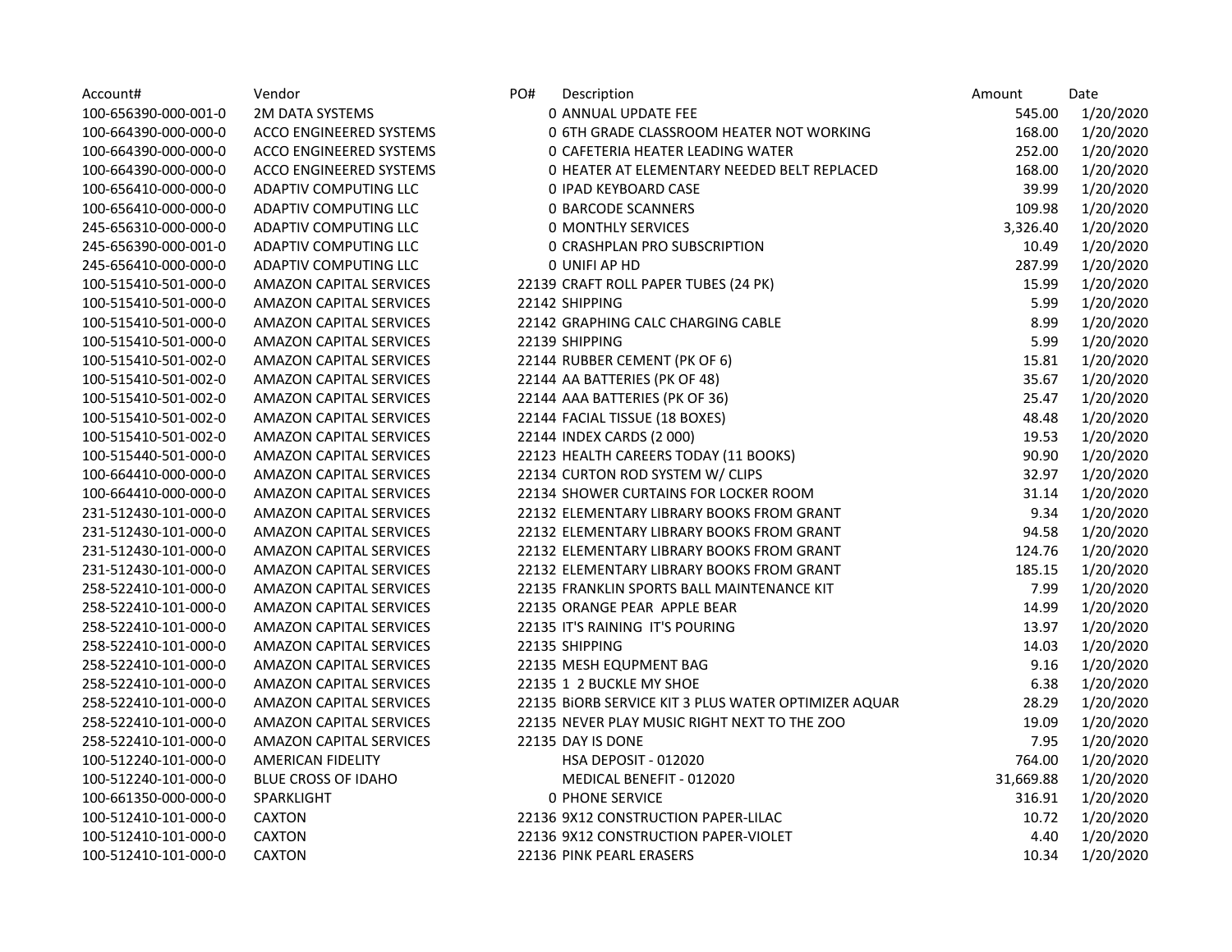| Account#             | Vendor                         | PO# | Description                                          | Amount    | Date      |
|----------------------|--------------------------------|-----|------------------------------------------------------|-----------|-----------|
| 100-656390-000-001-0 | 2M DATA SYSTEMS                |     | 0 ANNUAL UPDATE FEE                                  | 545.00    | 1/20/2020 |
| 100-664390-000-000-0 | ACCO ENGINEERED SYSTEMS        |     | 0 6TH GRADE CLASSROOM HEATER NOT WORKING             | 168.00    | 1/20/2020 |
| 100-664390-000-000-0 | ACCO ENGINEERED SYSTEMS        |     | <b>0 CAFETERIA HEATER LEADING WATER</b>              | 252.00    | 1/20/2020 |
| 100-664390-000-000-0 | ACCO ENGINEERED SYSTEMS        |     | O HEATER AT ELEMENTARY NEEDED BELT REPLACED          | 168.00    | 1/20/2020 |
| 100-656410-000-000-0 | <b>ADAPTIV COMPUTING LLC</b>   |     | 0 IPAD KEYBOARD CASE                                 | 39.99     | 1/20/2020 |
| 100-656410-000-000-0 | ADAPTIV COMPUTING LLC          |     | <b>0 BARCODE SCANNERS</b>                            | 109.98    | 1/20/2020 |
| 245-656310-000-000-0 | ADAPTIV COMPUTING LLC          |     | <b>0 MONTHLY SERVICES</b>                            | 3,326.40  | 1/20/2020 |
| 245-656390-000-001-0 | ADAPTIV COMPUTING LLC          |     | <b>O CRASHPLAN PRO SUBSCRIPTION</b>                  | 10.49     | 1/20/2020 |
| 245-656410-000-000-0 | <b>ADAPTIV COMPUTING LLC</b>   |     | 0 UNIFI AP HD                                        | 287.99    | 1/20/2020 |
| 100-515410-501-000-0 | AMAZON CAPITAL SERVICES        |     | 22139 CRAFT ROLL PAPER TUBES (24 PK)                 | 15.99     | 1/20/2020 |
| 100-515410-501-000-0 | <b>AMAZON CAPITAL SERVICES</b> |     | 22142 SHIPPING                                       | 5.99      | 1/20/2020 |
| 100-515410-501-000-0 | AMAZON CAPITAL SERVICES        |     | 22142 GRAPHING CALC CHARGING CABLE                   | 8.99      | 1/20/2020 |
| 100-515410-501-000-0 | <b>AMAZON CAPITAL SERVICES</b> |     | 22139 SHIPPING                                       | 5.99      | 1/20/2020 |
| 100-515410-501-002-0 | AMAZON CAPITAL SERVICES        |     | 22144 RUBBER CEMENT (PK OF 6)                        | 15.81     | 1/20/2020 |
| 100-515410-501-002-0 | <b>AMAZON CAPITAL SERVICES</b> |     | 22144 AA BATTERIES (PK OF 48)                        | 35.67     | 1/20/2020 |
| 100-515410-501-002-0 | AMAZON CAPITAL SERVICES        |     | 22144 AAA BATTERIES (PK OF 36)                       | 25.47     | 1/20/2020 |
| 100-515410-501-002-0 | <b>AMAZON CAPITAL SERVICES</b> |     | 22144 FACIAL TISSUE (18 BOXES)                       | 48.48     | 1/20/2020 |
| 100-515410-501-002-0 | AMAZON CAPITAL SERVICES        |     | 22144 INDEX CARDS (2 000)                            | 19.53     | 1/20/2020 |
| 100-515440-501-000-0 | <b>AMAZON CAPITAL SERVICES</b> |     | 22123 HEALTH CAREERS TODAY (11 BOOKS)                | 90.90     | 1/20/2020 |
| 100-664410-000-000-0 | AMAZON CAPITAL SERVICES        |     | 22134 CURTON ROD SYSTEM W/ CLIPS                     | 32.97     | 1/20/2020 |
| 100-664410-000-000-0 | <b>AMAZON CAPITAL SERVICES</b> |     | 22134 SHOWER CURTAINS FOR LOCKER ROOM                | 31.14     | 1/20/2020 |
| 231-512430-101-000-0 | <b>AMAZON CAPITAL SERVICES</b> |     | 22132 ELEMENTARY LIBRARY BOOKS FROM GRANT            | 9.34      | 1/20/2020 |
| 231-512430-101-000-0 | <b>AMAZON CAPITAL SERVICES</b> |     | 22132 ELEMENTARY LIBRARY BOOKS FROM GRANT            | 94.58     | 1/20/2020 |
| 231-512430-101-000-0 | <b>AMAZON CAPITAL SERVICES</b> |     | 22132 ELEMENTARY LIBRARY BOOKS FROM GRANT            | 124.76    | 1/20/2020 |
| 231-512430-101-000-0 | <b>AMAZON CAPITAL SERVICES</b> |     | 22132 ELEMENTARY LIBRARY BOOKS FROM GRANT            | 185.15    | 1/20/2020 |
| 258-522410-101-000-0 | <b>AMAZON CAPITAL SERVICES</b> |     | 22135 FRANKLIN SPORTS BALL MAINTENANCE KIT           | 7.99      | 1/20/2020 |
| 258-522410-101-000-0 | <b>AMAZON CAPITAL SERVICES</b> |     | 22135 ORANGE PEAR APPLE BEAR                         | 14.99     | 1/20/2020 |
| 258-522410-101-000-0 | AMAZON CAPITAL SERVICES        |     | 22135 IT'S RAINING IT'S POURING                      | 13.97     | 1/20/2020 |
| 258-522410-101-000-0 | <b>AMAZON CAPITAL SERVICES</b> |     | 22135 SHIPPING                                       | 14.03     | 1/20/2020 |
| 258-522410-101-000-0 | <b>AMAZON CAPITAL SERVICES</b> |     | 22135 MESH EQUPMENT BAG                              | 9.16      | 1/20/2020 |
| 258-522410-101-000-0 | AMAZON CAPITAL SERVICES        |     | 22135 1 2 BUCKLE MY SHOE                             | 6.38      | 1/20/2020 |
| 258-522410-101-000-0 | AMAZON CAPITAL SERVICES        |     | 22135 BIORB SERVICE KIT 3 PLUS WATER OPTIMIZER AQUAR | 28.29     | 1/20/2020 |
| 258-522410-101-000-0 | <b>AMAZON CAPITAL SERVICES</b> |     | 22135 NEVER PLAY MUSIC RIGHT NEXT TO THE ZOO         | 19.09     | 1/20/2020 |
| 258-522410-101-000-0 | AMAZON CAPITAL SERVICES        |     | 22135 DAY IS DONE                                    | 7.95      | 1/20/2020 |
| 100-512240-101-000-0 | <b>AMERICAN FIDELITY</b>       |     | <b>HSA DEPOSIT - 012020</b>                          | 764.00    | 1/20/2020 |
| 100-512240-101-000-0 | <b>BLUE CROSS OF IDAHO</b>     |     | MEDICAL BENEFIT - 012020                             | 31,669.88 | 1/20/2020 |
| 100-661350-000-000-0 | SPARKLIGHT                     |     | <b>0 PHONE SERVICE</b>                               | 316.91    | 1/20/2020 |
| 100-512410-101-000-0 | <b>CAXTON</b>                  |     | 22136 9X12 CONSTRUCTION PAPER-LILAC                  | 10.72     | 1/20/2020 |
| 100-512410-101-000-0 | <b>CAXTON</b>                  |     | 22136 9X12 CONSTRUCTION PAPER-VIOLET                 | 4.40      | 1/20/2020 |
| 100-512410-101-000-0 | <b>CAXTON</b>                  |     | 22136 PINK PEARL ERASERS                             | 10.34     | 1/20/2020 |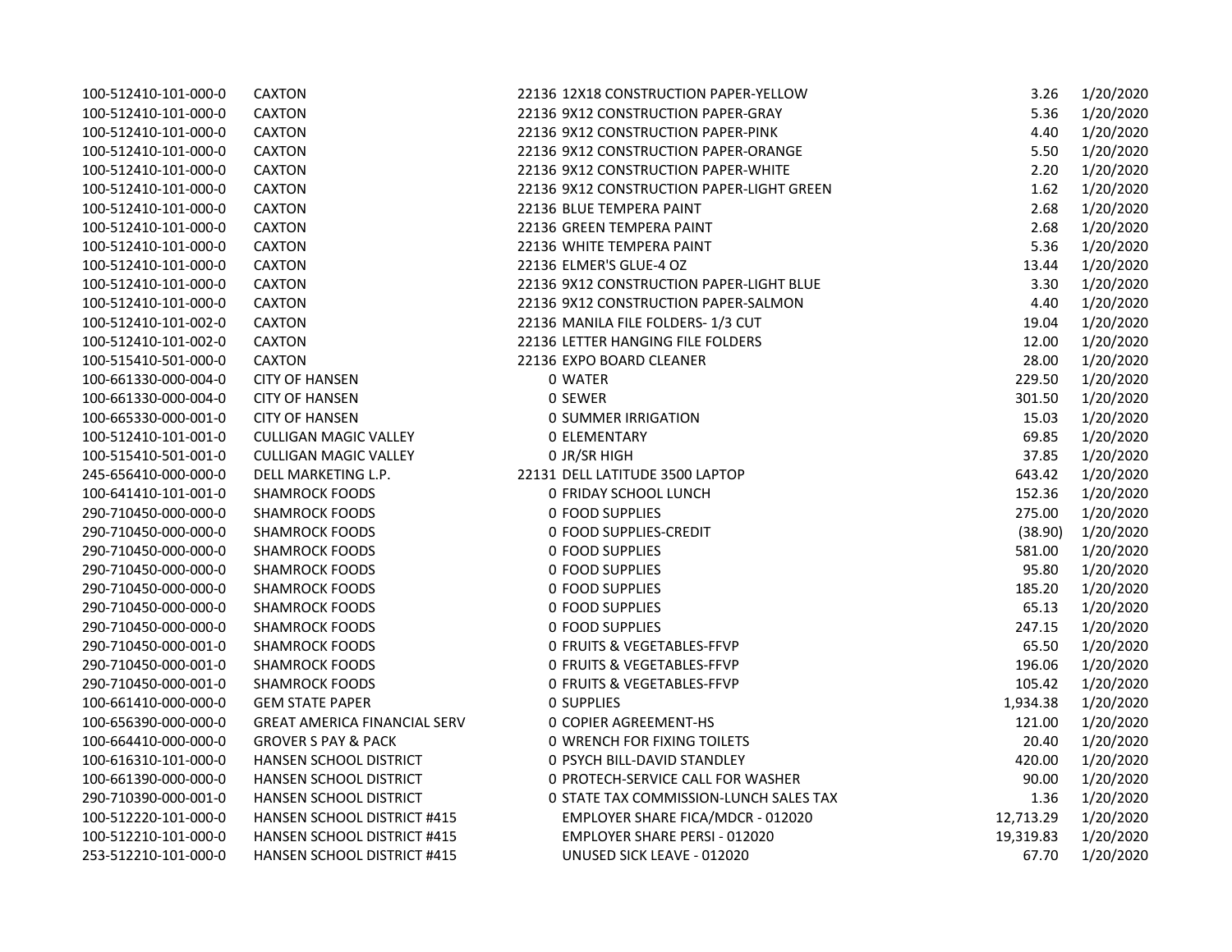| 100-512410-101-000-0 | <b>CAXTON</b>                       | 22136 12X18 CONSTRUCTION PAPER-YELLOW     | 3.26      | 1/20/2020 |
|----------------------|-------------------------------------|-------------------------------------------|-----------|-----------|
| 100-512410-101-000-0 | CAXTON                              | 22136 9X12 CONSTRUCTION PAPER-GRAY        | 5.36      | 1/20/2020 |
| 100-512410-101-000-0 | <b>CAXTON</b>                       | 22136 9X12 CONSTRUCTION PAPER-PINK        | 4.40      | 1/20/2020 |
| 100-512410-101-000-0 | <b>CAXTON</b>                       | 22136 9X12 CONSTRUCTION PAPER-ORANGE      | 5.50      | 1/20/2020 |
| 100-512410-101-000-0 | <b>CAXTON</b>                       | 22136 9X12 CONSTRUCTION PAPER-WHITE       | 2.20      | 1/20/2020 |
| 100-512410-101-000-0 | <b>CAXTON</b>                       | 22136 9X12 CONSTRUCTION PAPER-LIGHT GREEN | 1.62      | 1/20/2020 |
| 100-512410-101-000-0 | <b>CAXTON</b>                       | 22136 BLUE TEMPERA PAINT                  | 2.68      | 1/20/2020 |
| 100-512410-101-000-0 | CAXTON                              | 22136 GREEN TEMPERA PAINT                 | 2.68      | 1/20/2020 |
| 100-512410-101-000-0 | <b>CAXTON</b>                       | 22136 WHITE TEMPERA PAINT                 | 5.36      | 1/20/2020 |
| 100-512410-101-000-0 | CAXTON                              | 22136 ELMER'S GLUE-4 OZ                   | 13.44     | 1/20/2020 |
| 100-512410-101-000-0 | CAXTON                              | 22136 9X12 CONSTRUCTION PAPER-LIGHT BLUE  | 3.30      | 1/20/2020 |
| 100-512410-101-000-0 | <b>CAXTON</b>                       | 22136 9X12 CONSTRUCTION PAPER-SALMON      | 4.40      | 1/20/2020 |
| 100-512410-101-002-0 | CAXTON                              | 22136 MANILA FILE FOLDERS-1/3 CUT         | 19.04     | 1/20/2020 |
| 100-512410-101-002-0 | <b>CAXTON</b>                       | 22136 LETTER HANGING FILE FOLDERS         | 12.00     | 1/20/2020 |
| 100-515410-501-000-0 | <b>CAXTON</b>                       | 22136 EXPO BOARD CLEANER                  | 28.00     | 1/20/2020 |
| 100-661330-000-004-0 | <b>CITY OF HANSEN</b>               | 0 WATER                                   | 229.50    | 1/20/2020 |
| 100-661330-000-004-0 | <b>CITY OF HANSEN</b>               | 0 SEWER                                   | 301.50    | 1/20/2020 |
| 100-665330-000-001-0 | <b>CITY OF HANSEN</b>               | <b>0 SUMMER IRRIGATION</b>                | 15.03     | 1/20/2020 |
| 100-512410-101-001-0 | <b>CULLIGAN MAGIC VALLEY</b>        | <b>0 ELEMENTARY</b>                       | 69.85     | 1/20/2020 |
| 100-515410-501-001-0 | <b>CULLIGAN MAGIC VALLEY</b>        | 0 JR/SR HIGH                              | 37.85     | 1/20/2020 |
| 245-656410-000-000-0 | DELL MARKETING L.P.                 | 22131 DELL LATITUDE 3500 LAPTOP           | 643.42    | 1/20/2020 |
| 100-641410-101-001-0 | <b>SHAMROCK FOODS</b>               | 0 FRIDAY SCHOOL LUNCH                     | 152.36    | 1/20/2020 |
| 290-710450-000-000-0 | <b>SHAMROCK FOODS</b>               | 0 FOOD SUPPLIES                           | 275.00    | 1/20/2020 |
| 290-710450-000-000-0 | <b>SHAMROCK FOODS</b>               | 0 FOOD SUPPLIES-CREDIT                    | (38.90)   | 1/20/2020 |
| 290-710450-000-000-0 | <b>SHAMROCK FOODS</b>               | 0 FOOD SUPPLIES                           | 581.00    | 1/20/2020 |
| 290-710450-000-000-0 | <b>SHAMROCK FOODS</b>               | <b>0 FOOD SUPPLIES</b>                    | 95.80     | 1/20/2020 |
| 290-710450-000-000-0 | <b>SHAMROCK FOODS</b>               | <b>0 FOOD SUPPLIES</b>                    | 185.20    | 1/20/2020 |
| 290-710450-000-000-0 | <b>SHAMROCK FOODS</b>               | <b>0 FOOD SUPPLIES</b>                    | 65.13     | 1/20/2020 |
| 290-710450-000-000-0 | <b>SHAMROCK FOODS</b>               | 0 FOOD SUPPLIES                           | 247.15    | 1/20/2020 |
| 290-710450-000-001-0 | <b>SHAMROCK FOODS</b>               | 0 FRUITS & VEGETABLES-FFVP                | 65.50     | 1/20/2020 |
| 290-710450-000-001-0 | <b>SHAMROCK FOODS</b>               | <b>0 FRUITS &amp; VEGETABLES-FFVP</b>     | 196.06    | 1/20/2020 |
| 290-710450-000-001-0 | <b>SHAMROCK FOODS</b>               | <b>0 FRUITS &amp; VEGETABLES-FFVP</b>     | 105.42    | 1/20/2020 |
| 100-661410-000-000-0 | <b>GEM STATE PAPER</b>              | <b>0 SUPPLIES</b>                         | 1,934.38  | 1/20/2020 |
| 100-656390-000-000-0 | <b>GREAT AMERICA FINANCIAL SERV</b> | <b>0 COPIER AGREEMENT-HS</b>              | 121.00    | 1/20/2020 |
| 100-664410-000-000-0 | <b>GROVER S PAY &amp; PACK</b>      | <b>0 WRENCH FOR FIXING TOILETS</b>        | 20.40     | 1/20/2020 |
| 100-616310-101-000-0 | HANSEN SCHOOL DISTRICT              | 0 PSYCH BILL-DAVID STANDLEY               | 420.00    | 1/20/2020 |
| 100-661390-000-000-0 | <b>HANSEN SCHOOL DISTRICT</b>       | 0 PROTECH-SERVICE CALL FOR WASHER         | 90.00     | 1/20/2020 |
| 290-710390-000-001-0 | HANSEN SCHOOL DISTRICT              | 0 STATE TAX COMMISSION-LUNCH SALES TAX    | 1.36      | 1/20/2020 |
| 100-512220-101-000-0 | HANSEN SCHOOL DISTRICT #415         | EMPLOYER SHARE FICA/MDCR - 012020         | 12,713.29 | 1/20/2020 |
| 100-512210-101-000-0 | HANSEN SCHOOL DISTRICT #415         | EMPLOYER SHARE PERSI - 012020             | 19,319.83 | 1/20/2020 |
| 253-512210-101-000-0 | <b>HANSEN SCHOOL DISTRICT #415</b>  | UNUSED SICK LEAVE - 012020                | 67.70     | 1/20/2020 |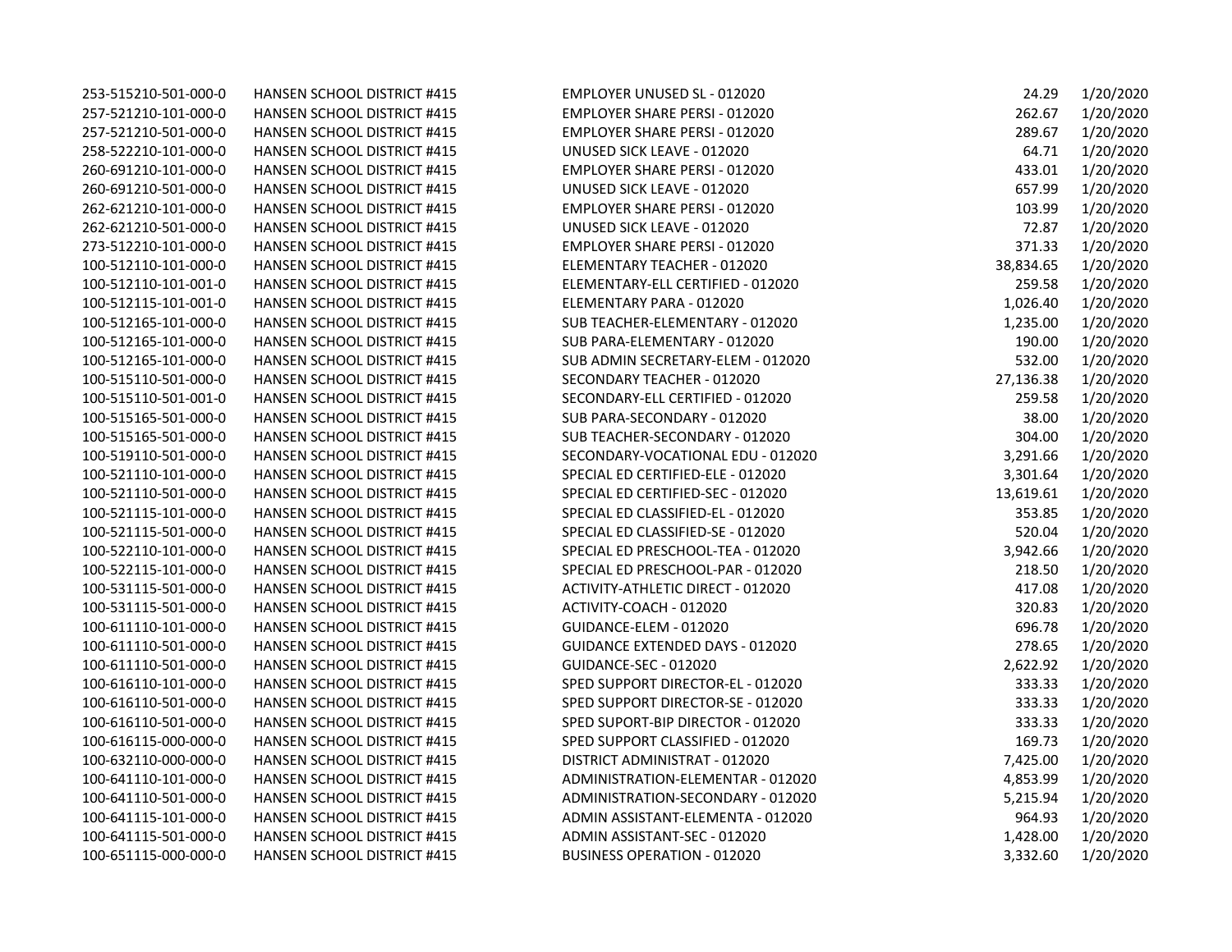| 253-515210-501-000-0 | <b>HANSEN SCHOOL DISTRICT #415</b> | EMPLOYER UNUSED SL - 012020          | 24.29     | 1/20/2020 |
|----------------------|------------------------------------|--------------------------------------|-----------|-----------|
| 257-521210-101-000-0 | HANSEN SCHOOL DISTRICT #415        | EMPLOYER SHARE PERSI - 012020        | 262.67    | 1/20/2020 |
| 257-521210-501-000-0 | <b>HANSEN SCHOOL DISTRICT #415</b> | EMPLOYER SHARE PERSI - 012020        | 289.67    | 1/20/2020 |
| 258-522210-101-000-0 | HANSEN SCHOOL DISTRICT #415        | UNUSED SICK LEAVE - 012020           | 64.71     | 1/20/2020 |
| 260-691210-101-000-0 | HANSEN SCHOOL DISTRICT #415        | <b>EMPLOYER SHARE PERSI - 012020</b> | 433.01    | 1/20/2020 |
| 260-691210-501-000-0 | HANSEN SCHOOL DISTRICT #415        | UNUSED SICK LEAVE - 012020           | 657.99    | 1/20/2020 |
| 262-621210-101-000-0 | HANSEN SCHOOL DISTRICT #415        | EMPLOYER SHARE PERSI - 012020        | 103.99    | 1/20/2020 |
| 262-621210-501-000-0 | HANSEN SCHOOL DISTRICT #415        | UNUSED SICK LEAVE - 012020           | 72.87     | 1/20/2020 |
| 273-512210-101-000-0 | <b>HANSEN SCHOOL DISTRICT #415</b> | <b>EMPLOYER SHARE PERSI - 012020</b> | 371.33    | 1/20/2020 |
| 100-512110-101-000-0 | HANSEN SCHOOL DISTRICT #415        | ELEMENTARY TEACHER - 012020          | 38,834.65 | 1/20/2020 |
| 100-512110-101-001-0 | HANSEN SCHOOL DISTRICT #415        | ELEMENTARY-ELL CERTIFIED - 012020    | 259.58    | 1/20/2020 |
| 100-512115-101-001-0 | <b>HANSEN SCHOOL DISTRICT #415</b> | ELEMENTARY PARA - 012020             | 1,026.40  | 1/20/2020 |
| 100-512165-101-000-0 | HANSEN SCHOOL DISTRICT #415        | SUB TEACHER-ELEMENTARY - 012020      | 1,235.00  | 1/20/2020 |
| 100-512165-101-000-0 | HANSEN SCHOOL DISTRICT #415        | SUB PARA-ELEMENTARY - 012020         | 190.00    | 1/20/2020 |
| 100-512165-101-000-0 | <b>HANSEN SCHOOL DISTRICT #415</b> | SUB ADMIN SECRETARY-ELEM - 012020    | 532.00    | 1/20/2020 |
| 100-515110-501-000-0 | HANSEN SCHOOL DISTRICT #415        | SECONDARY TEACHER - 012020           | 27,136.38 | 1/20/2020 |
| 100-515110-501-001-0 | HANSEN SCHOOL DISTRICT #415        | SECONDARY-ELL CERTIFIED - 012020     | 259.58    | 1/20/2020 |
| 100-515165-501-000-0 | HANSEN SCHOOL DISTRICT #415        | SUB PARA-SECONDARY - 012020          | 38.00     | 1/20/2020 |
| 100-515165-501-000-0 | HANSEN SCHOOL DISTRICT #415        | SUB TEACHER-SECONDARY - 012020       | 304.00    | 1/20/2020 |
| 100-519110-501-000-0 | HANSEN SCHOOL DISTRICT #415        | SECONDARY-VOCATIONAL EDU - 012020    | 3,291.66  | 1/20/2020 |
| 100-521110-101-000-0 | HANSEN SCHOOL DISTRICT #415        | SPECIAL ED CERTIFIED-ELE - 012020    | 3,301.64  | 1/20/2020 |
| 100-521110-501-000-0 | <b>HANSEN SCHOOL DISTRICT #415</b> | SPECIAL ED CERTIFIED-SEC - 012020    | 13,619.61 | 1/20/2020 |
| 100-521115-101-000-0 | HANSEN SCHOOL DISTRICT #415        | SPECIAL ED CLASSIFIED-EL - 012020    | 353.85    | 1/20/2020 |
| 100-521115-501-000-0 | HANSEN SCHOOL DISTRICT #415        | SPECIAL ED CLASSIFIED-SE - 012020    | 520.04    | 1/20/2020 |
| 100-522110-101-000-0 | <b>HANSEN SCHOOL DISTRICT #415</b> | SPECIAL ED PRESCHOOL-TEA - 012020    | 3,942.66  | 1/20/2020 |
| 100-522115-101-000-0 | HANSEN SCHOOL DISTRICT #415        | SPECIAL ED PRESCHOOL-PAR - 012020    | 218.50    | 1/20/2020 |
| 100-531115-501-000-0 | HANSEN SCHOOL DISTRICT #415        | ACTIVITY-ATHLETIC DIRECT - 012020    | 417.08    | 1/20/2020 |
| 100-531115-501-000-0 | HANSEN SCHOOL DISTRICT #415        | ACTIVITY-COACH - 012020              | 320.83    | 1/20/2020 |
| 100-611110-101-000-0 | HANSEN SCHOOL DISTRICT #415        | GUIDANCE-ELEM - 012020               | 696.78    | 1/20/2020 |
| 100-611110-501-000-0 | HANSEN SCHOOL DISTRICT #415        | GUIDANCE EXTENDED DAYS - 012020      | 278.65    | 1/20/2020 |
| 100-611110-501-000-0 | <b>HANSEN SCHOOL DISTRICT #415</b> | GUIDANCE-SEC - 012020                | 2,622.92  | 1/20/2020 |
| 100-616110-101-000-0 | HANSEN SCHOOL DISTRICT #415        | SPED SUPPORT DIRECTOR-EL - 012020    | 333.33    | 1/20/2020 |
| 100-616110-501-000-0 | <b>HANSEN SCHOOL DISTRICT #415</b> | SPED SUPPORT DIRECTOR-SE - 012020    | 333.33    | 1/20/2020 |
| 100-616110-501-000-0 | HANSEN SCHOOL DISTRICT #415        | SPED SUPORT-BIP DIRECTOR - 012020    | 333.33    | 1/20/2020 |
| 100-616115-000-000-0 | HANSEN SCHOOL DISTRICT #415        | SPED SUPPORT CLASSIFIED - 012020     | 169.73    | 1/20/2020 |
| 100-632110-000-000-0 | <b>HANSEN SCHOOL DISTRICT #415</b> | DISTRICT ADMINISTRAT - 012020        | 7,425.00  | 1/20/2020 |
| 100-641110-101-000-0 | HANSEN SCHOOL DISTRICT #415        | ADMINISTRATION-ELEMENTAR - 012020    | 4,853.99  | 1/20/2020 |
| 100-641110-501-000-0 | HANSEN SCHOOL DISTRICT #415        | ADMINISTRATION-SECONDARY - 012020    | 5,215.94  | 1/20/2020 |
| 100-641115-101-000-0 | <b>HANSEN SCHOOL DISTRICT #415</b> | ADMIN ASSISTANT-ELEMENTA - 012020    | 964.93    | 1/20/2020 |
| 100-641115-501-000-0 | HANSEN SCHOOL DISTRICT #415        | ADMIN ASSISTANT-SEC - 012020         | 1,428.00  | 1/20/2020 |
| 100-651115-000-000-0 | <b>HANSEN SCHOOL DISTRICT #415</b> | <b>BUSINESS OPERATION - 012020</b>   | 3,332.60  | 1/20/2020 |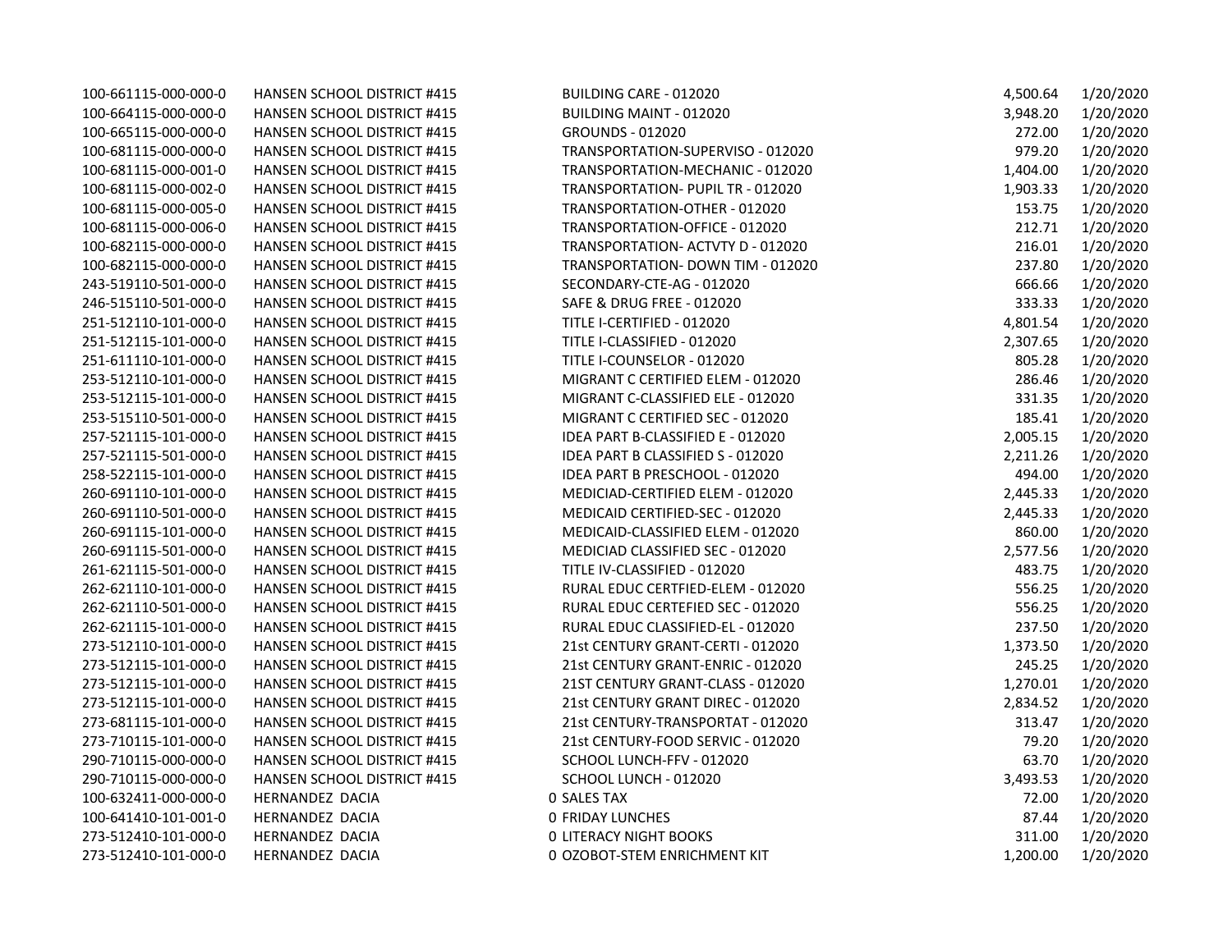| <b>HANSEN SCHOOL DISTRICT #415</b> | BUILDING CARE - 012020                   | 4,500.64                                                                                                                                                                                                                                                                                                                                                                                                                                                                                                                                                                                                                                                                                                                                                                                                                                                                                                                                                                                                   | 1/20/2020 |
|------------------------------------|------------------------------------------|------------------------------------------------------------------------------------------------------------------------------------------------------------------------------------------------------------------------------------------------------------------------------------------------------------------------------------------------------------------------------------------------------------------------------------------------------------------------------------------------------------------------------------------------------------------------------------------------------------------------------------------------------------------------------------------------------------------------------------------------------------------------------------------------------------------------------------------------------------------------------------------------------------------------------------------------------------------------------------------------------------|-----------|
| HANSEN SCHOOL DISTRICT #415        | BUILDING MAINT - 012020                  | 3,948.20                                                                                                                                                                                                                                                                                                                                                                                                                                                                                                                                                                                                                                                                                                                                                                                                                                                                                                                                                                                                   | 1/20/2020 |
| <b>HANSEN SCHOOL DISTRICT #415</b> | <b>GROUNDS - 012020</b>                  | 272.00                                                                                                                                                                                                                                                                                                                                                                                                                                                                                                                                                                                                                                                                                                                                                                                                                                                                                                                                                                                                     | 1/20/2020 |
| HANSEN SCHOOL DISTRICT #415        |                                          | 979.20                                                                                                                                                                                                                                                                                                                                                                                                                                                                                                                                                                                                                                                                                                                                                                                                                                                                                                                                                                                                     | 1/20/2020 |
| HANSEN SCHOOL DISTRICT #415        |                                          | 1,404.00                                                                                                                                                                                                                                                                                                                                                                                                                                                                                                                                                                                                                                                                                                                                                                                                                                                                                                                                                                                                   | 1/20/2020 |
| HANSEN SCHOOL DISTRICT #415        |                                          | 1,903.33                                                                                                                                                                                                                                                                                                                                                                                                                                                                                                                                                                                                                                                                                                                                                                                                                                                                                                                                                                                                   | 1/20/2020 |
| <b>HANSEN SCHOOL DISTRICT #415</b> |                                          | 153.75                                                                                                                                                                                                                                                                                                                                                                                                                                                                                                                                                                                                                                                                                                                                                                                                                                                                                                                                                                                                     | 1/20/2020 |
| <b>HANSEN SCHOOL DISTRICT #415</b> |                                          | 212.71                                                                                                                                                                                                                                                                                                                                                                                                                                                                                                                                                                                                                                                                                                                                                                                                                                                                                                                                                                                                     | 1/20/2020 |
| HANSEN SCHOOL DISTRICT #415        |                                          | 216.01                                                                                                                                                                                                                                                                                                                                                                                                                                                                                                                                                                                                                                                                                                                                                                                                                                                                                                                                                                                                     | 1/20/2020 |
| HANSEN SCHOOL DISTRICT #415        |                                          | 237.80                                                                                                                                                                                                                                                                                                                                                                                                                                                                                                                                                                                                                                                                                                                                                                                                                                                                                                                                                                                                     | 1/20/2020 |
| <b>HANSEN SCHOOL DISTRICT #415</b> | SECONDARY-CTE-AG - 012020                | 666.66                                                                                                                                                                                                                                                                                                                                                                                                                                                                                                                                                                                                                                                                                                                                                                                                                                                                                                                                                                                                     | 1/20/2020 |
| <b>HANSEN SCHOOL DISTRICT #415</b> |                                          | 333.33                                                                                                                                                                                                                                                                                                                                                                                                                                                                                                                                                                                                                                                                                                                                                                                                                                                                                                                                                                                                     | 1/20/2020 |
| HANSEN SCHOOL DISTRICT #415        |                                          | 4,801.54                                                                                                                                                                                                                                                                                                                                                                                                                                                                                                                                                                                                                                                                                                                                                                                                                                                                                                                                                                                                   | 1/20/2020 |
| <b>HANSEN SCHOOL DISTRICT #415</b> |                                          | 2,307.65                                                                                                                                                                                                                                                                                                                                                                                                                                                                                                                                                                                                                                                                                                                                                                                                                                                                                                                                                                                                   | 1/20/2020 |
| HANSEN SCHOOL DISTRICT #415        |                                          | 805.28                                                                                                                                                                                                                                                                                                                                                                                                                                                                                                                                                                                                                                                                                                                                                                                                                                                                                                                                                                                                     | 1/20/2020 |
| HANSEN SCHOOL DISTRICT #415        |                                          | 286.46                                                                                                                                                                                                                                                                                                                                                                                                                                                                                                                                                                                                                                                                                                                                                                                                                                                                                                                                                                                                     | 1/20/2020 |
| <b>HANSEN SCHOOL DISTRICT #415</b> |                                          | 331.35                                                                                                                                                                                                                                                                                                                                                                                                                                                                                                                                                                                                                                                                                                                                                                                                                                                                                                                                                                                                     | 1/20/2020 |
| HANSEN SCHOOL DISTRICT #415        |                                          | 185.41                                                                                                                                                                                                                                                                                                                                                                                                                                                                                                                                                                                                                                                                                                                                                                                                                                                                                                                                                                                                     | 1/20/2020 |
| HANSEN SCHOOL DISTRICT #415        |                                          | 2,005.15                                                                                                                                                                                                                                                                                                                                                                                                                                                                                                                                                                                                                                                                                                                                                                                                                                                                                                                                                                                                   | 1/20/2020 |
| HANSEN SCHOOL DISTRICT #415        | <b>IDEA PART B CLASSIFIED S - 012020</b> | 2,211.26                                                                                                                                                                                                                                                                                                                                                                                                                                                                                                                                                                                                                                                                                                                                                                                                                                                                                                                                                                                                   | 1/20/2020 |
| HANSEN SCHOOL DISTRICT #415        | IDEA PART B PRESCHOOL - 012020           | 494.00                                                                                                                                                                                                                                                                                                                                                                                                                                                                                                                                                                                                                                                                                                                                                                                                                                                                                                                                                                                                     | 1/20/2020 |
| <b>HANSEN SCHOOL DISTRICT #415</b> |                                          | 2,445.33                                                                                                                                                                                                                                                                                                                                                                                                                                                                                                                                                                                                                                                                                                                                                                                                                                                                                                                                                                                                   | 1/20/2020 |
| <b>HANSEN SCHOOL DISTRICT #415</b> |                                          | 2,445.33                                                                                                                                                                                                                                                                                                                                                                                                                                                                                                                                                                                                                                                                                                                                                                                                                                                                                                                                                                                                   | 1/20/2020 |
| <b>HANSEN SCHOOL DISTRICT #415</b> | MEDICAID-CLASSIFIED ELEM - 012020        | 860.00                                                                                                                                                                                                                                                                                                                                                                                                                                                                                                                                                                                                                                                                                                                                                                                                                                                                                                                                                                                                     | 1/20/2020 |
| HANSEN SCHOOL DISTRICT #415        |                                          | 2,577.56                                                                                                                                                                                                                                                                                                                                                                                                                                                                                                                                                                                                                                                                                                                                                                                                                                                                                                                                                                                                   | 1/20/2020 |
| HANSEN SCHOOL DISTRICT #415        |                                          | 483.75                                                                                                                                                                                                                                                                                                                                                                                                                                                                                                                                                                                                                                                                                                                                                                                                                                                                                                                                                                                                     | 1/20/2020 |
| <b>HANSEN SCHOOL DISTRICT #415</b> | RURAL EDUC CERTFIED-ELEM - 012020        | 556.25                                                                                                                                                                                                                                                                                                                                                                                                                                                                                                                                                                                                                                                                                                                                                                                                                                                                                                                                                                                                     | 1/20/2020 |
| HANSEN SCHOOL DISTRICT #415        |                                          | 556.25                                                                                                                                                                                                                                                                                                                                                                                                                                                                                                                                                                                                                                                                                                                                                                                                                                                                                                                                                                                                     | 1/20/2020 |
| HANSEN SCHOOL DISTRICT #415        |                                          | 237.50                                                                                                                                                                                                                                                                                                                                                                                                                                                                                                                                                                                                                                                                                                                                                                                                                                                                                                                                                                                                     | 1/20/2020 |
| <b>HANSEN SCHOOL DISTRICT #415</b> |                                          | 1,373.50                                                                                                                                                                                                                                                                                                                                                                                                                                                                                                                                                                                                                                                                                                                                                                                                                                                                                                                                                                                                   | 1/20/2020 |
| HANSEN SCHOOL DISTRICT #415        |                                          | 245.25                                                                                                                                                                                                                                                                                                                                                                                                                                                                                                                                                                                                                                                                                                                                                                                                                                                                                                                                                                                                     | 1/20/2020 |
| <b>HANSEN SCHOOL DISTRICT #415</b> | 21ST CENTURY GRANT-CLASS - 012020        | 1,270.01                                                                                                                                                                                                                                                                                                                                                                                                                                                                                                                                                                                                                                                                                                                                                                                                                                                                                                                                                                                                   | 1/20/2020 |
| HANSEN SCHOOL DISTRICT #415        | 21st CENTURY GRANT DIREC - 012020        | 2,834.52                                                                                                                                                                                                                                                                                                                                                                                                                                                                                                                                                                                                                                                                                                                                                                                                                                                                                                                                                                                                   | 1/20/2020 |
| HANSEN SCHOOL DISTRICT #415        |                                          | 313.47                                                                                                                                                                                                                                                                                                                                                                                                                                                                                                                                                                                                                                                                                                                                                                                                                                                                                                                                                                                                     | 1/20/2020 |
| <b>HANSEN SCHOOL DISTRICT #415</b> | 21st CENTURY-FOOD SERVIC - 012020        | 79.20                                                                                                                                                                                                                                                                                                                                                                                                                                                                                                                                                                                                                                                                                                                                                                                                                                                                                                                                                                                                      | 1/20/2020 |
| HANSEN SCHOOL DISTRICT #415        | SCHOOL LUNCH-FFV - 012020                | 63.70                                                                                                                                                                                                                                                                                                                                                                                                                                                                                                                                                                                                                                                                                                                                                                                                                                                                                                                                                                                                      | 1/20/2020 |
| HANSEN SCHOOL DISTRICT #415        |                                          | 3,493.53                                                                                                                                                                                                                                                                                                                                                                                                                                                                                                                                                                                                                                                                                                                                                                                                                                                                                                                                                                                                   | 1/20/2020 |
| HERNANDEZ DACIA                    |                                          | 72.00                                                                                                                                                                                                                                                                                                                                                                                                                                                                                                                                                                                                                                                                                                                                                                                                                                                                                                                                                                                                      | 1/20/2020 |
| HERNANDEZ DACIA                    |                                          | 87.44                                                                                                                                                                                                                                                                                                                                                                                                                                                                                                                                                                                                                                                                                                                                                                                                                                                                                                                                                                                                      | 1/20/2020 |
| HERNANDEZ DACIA                    |                                          | 311.00                                                                                                                                                                                                                                                                                                                                                                                                                                                                                                                                                                                                                                                                                                                                                                                                                                                                                                                                                                                                     | 1/20/2020 |
| HERNANDEZ DACIA                    |                                          | 1,200.00                                                                                                                                                                                                                                                                                                                                                                                                                                                                                                                                                                                                                                                                                                                                                                                                                                                                                                                                                                                                   | 1/20/2020 |
|                                    |                                          | TRANSPORTATION-SUPERVISO - 012020<br>TRANSPORTATION-MECHANIC - 012020<br>TRANSPORTATION- PUPIL TR - 012020<br>TRANSPORTATION-OTHER - 012020<br>TRANSPORTATION-OFFICE - 012020<br>TRANSPORTATION- ACTVTY D - 012020<br>TRANSPORTATION- DOWN TIM - 012020<br>SAFE & DRUG FREE - 012020<br>TITLE I-CERTIFIED - 012020<br>TITLE I-CLASSIFIED - 012020<br>TITLE I-COUNSELOR - 012020<br>MIGRANT C CERTIFIED ELEM - 012020<br>MIGRANT C-CLASSIFIED ELE - 012020<br>MIGRANT C CERTIFIED SEC - 012020<br>IDEA PART B-CLASSIFIED E - 012020<br>MEDICIAD-CERTIFIED ELEM - 012020<br>MEDICAID CERTIFIED-SEC - 012020<br>MEDICIAD CLASSIFIED SEC - 012020<br>TITLE IV-CLASSIFIED - 012020<br>RURAL EDUC CERTEFIED SEC - 012020<br>RURAL EDUC CLASSIFIED-EL - 012020<br>21st CENTURY GRANT-CERTI - 012020<br>21st CENTURY GRANT-ENRIC - 012020<br>21st CENTURY-TRANSPORTAT - 012020<br>SCHOOL LUNCH - 012020<br>0 SALES TAX<br><b>0 FRIDAY LUNCHES</b><br><b>0 LITERACY NIGHT BOOKS</b><br>0 OZOBOT-STEM ENRICHMENT KIT |           |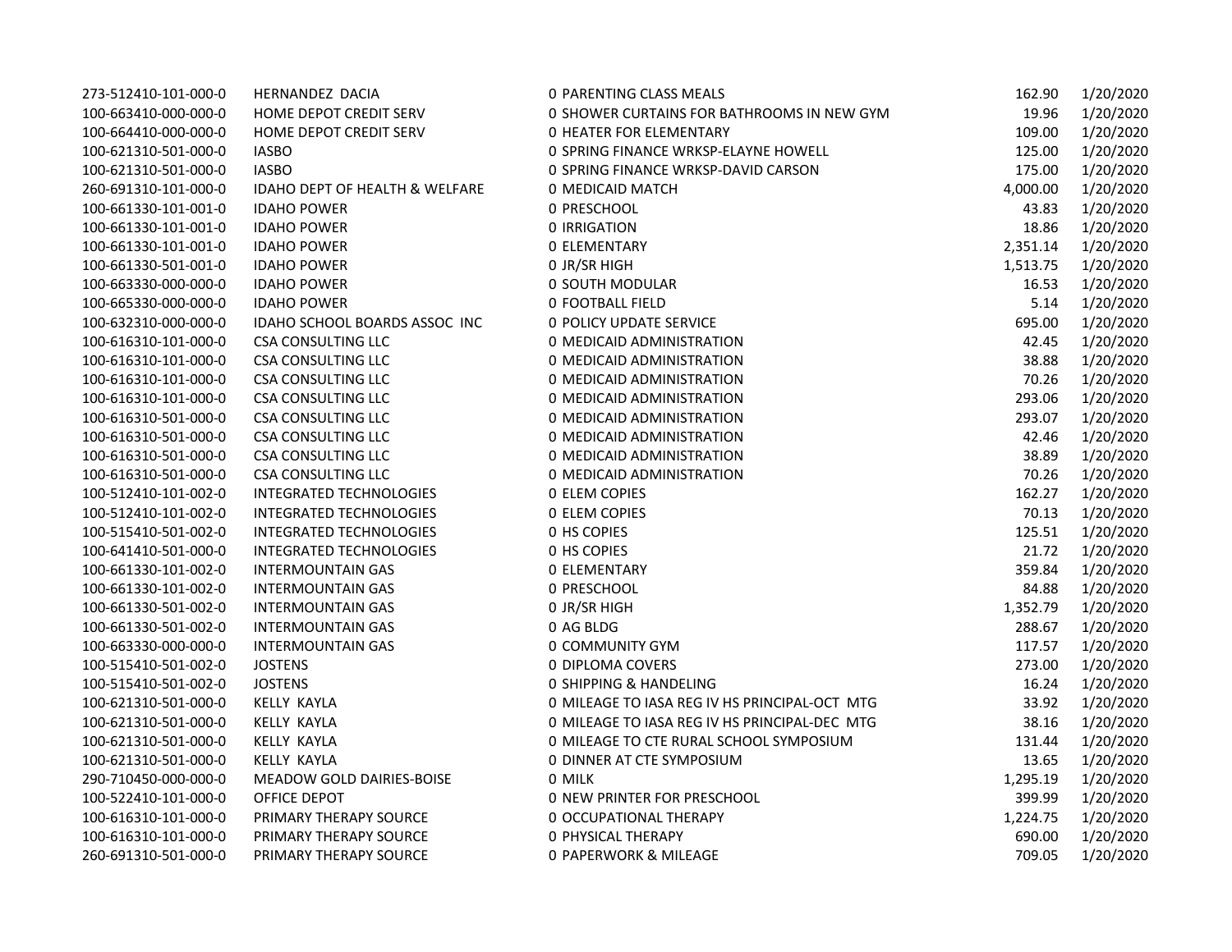| 273-512410-101-000-0 | HERNANDEZ DACIA                           | 0 PARENTING CLASS MEALS                       | 162.90   | 1/20/2020 |
|----------------------|-------------------------------------------|-----------------------------------------------|----------|-----------|
| 100-663410-000-000-0 | HOME DEPOT CREDIT SERV                    | 0 SHOWER CURTAINS FOR BATHROOMS IN NEW GYM    | 19.96    | 1/20/2020 |
| 100-664410-000-000-0 | <b>HOME DEPOT CREDIT SERV</b>             | <b>0 HEATER FOR ELEMENTARY</b>                | 109.00   | 1/20/2020 |
| 100-621310-501-000-0 | <b>IASBO</b>                              | 0 SPRING FINANCE WRKSP-ELAYNE HOWELL          | 125.00   | 1/20/2020 |
| 100-621310-501-000-0 | <b>IASBO</b>                              | 0 SPRING FINANCE WRKSP-DAVID CARSON           | 175.00   | 1/20/2020 |
| 260-691310-101-000-0 | <b>IDAHO DEPT OF HEALTH &amp; WELFARE</b> | 0 MEDICAID MATCH                              | 4,000.00 | 1/20/2020 |
| 100-661330-101-001-0 | <b>IDAHO POWER</b>                        | 0 PRESCHOOL                                   | 43.83    | 1/20/2020 |
| 100-661330-101-001-0 | <b>IDAHO POWER</b>                        | 0 IRRIGATION                                  | 18.86    | 1/20/2020 |
| 100-661330-101-001-0 | <b>IDAHO POWER</b>                        | <b>0 ELEMENTARY</b>                           | 2,351.14 | 1/20/2020 |
| 100-661330-501-001-0 | <b>IDAHO POWER</b>                        | O JR/SR HIGH                                  | 1,513.75 | 1/20/2020 |
| 100-663330-000-000-0 | <b>IDAHO POWER</b>                        | 0 SOUTH MODULAR                               | 16.53    | 1/20/2020 |
| 100-665330-000-000-0 | <b>IDAHO POWER</b>                        | 0 FOOTBALL FIELD                              | 5.14     | 1/20/2020 |
| 100-632310-000-000-0 | IDAHO SCHOOL BOARDS ASSOC INC             | <b>0 POLICY UPDATE SERVICE</b>                | 695.00   | 1/20/2020 |
| 100-616310-101-000-0 | <b>CSA CONSULTING LLC</b>                 | 0 MEDICAID ADMINISTRATION                     | 42.45    | 1/20/2020 |
| 100-616310-101-000-0 | <b>CSA CONSULTING LLC</b>                 | 0 MEDICAID ADMINISTRATION                     | 38.88    | 1/20/2020 |
| 100-616310-101-000-0 | <b>CSA CONSULTING LLC</b>                 | 0 MEDICAID ADMINISTRATION                     | 70.26    | 1/20/2020 |
| 100-616310-101-000-0 | <b>CSA CONSULTING LLC</b>                 | 0 MEDICAID ADMINISTRATION                     | 293.06   | 1/20/2020 |
| 100-616310-501-000-0 | <b>CSA CONSULTING LLC</b>                 | 0 MEDICAID ADMINISTRATION                     | 293.07   | 1/20/2020 |
| 100-616310-501-000-0 | <b>CSA CONSULTING LLC</b>                 | 0 MEDICAID ADMINISTRATION                     | 42.46    | 1/20/2020 |
| 100-616310-501-000-0 | <b>CSA CONSULTING LLC</b>                 | 0 MEDICAID ADMINISTRATION                     | 38.89    | 1/20/2020 |
| 100-616310-501-000-0 | <b>CSA CONSULTING LLC</b>                 | 0 MEDICAID ADMINISTRATION                     | 70.26    | 1/20/2020 |
| 100-512410-101-002-0 | <b>INTEGRATED TECHNOLOGIES</b>            | <b>0 ELEM COPIES</b>                          | 162.27   | 1/20/2020 |
| 100-512410-101-002-0 | <b>INTEGRATED TECHNOLOGIES</b>            | <b>0 ELEM COPIES</b>                          | 70.13    | 1/20/2020 |
| 100-515410-501-002-0 | INTEGRATED TECHNOLOGIES                   | 0 HS COPIES                                   | 125.51   | 1/20/2020 |
| 100-641410-501-000-0 | <b>INTEGRATED TECHNOLOGIES</b>            | <b>0 HS COPIES</b>                            | 21.72    | 1/20/2020 |
| 100-661330-101-002-0 | <b>INTERMOUNTAIN GAS</b>                  | <b>0 ELEMENTARY</b>                           | 359.84   | 1/20/2020 |
| 100-661330-101-002-0 | <b>INTERMOUNTAIN GAS</b>                  | 0 PRESCHOOL                                   | 84.88    | 1/20/2020 |
| 100-661330-501-002-0 | <b>INTERMOUNTAIN GAS</b>                  | O JR/SR HIGH                                  | 1,352.79 | 1/20/2020 |
| 100-661330-501-002-0 | <b>INTERMOUNTAIN GAS</b>                  | 0 AG BLDG                                     | 288.67   | 1/20/2020 |
| 100-663330-000-000-0 | <b>INTERMOUNTAIN GAS</b>                  | 0 COMMUNITY GYM                               | 117.57   | 1/20/2020 |
| 100-515410-501-002-0 | <b>JOSTENS</b>                            | 0 DIPLOMA COVERS                              | 273.00   | 1/20/2020 |
| 100-515410-501-002-0 | <b>JOSTENS</b>                            | <b>0 SHIPPING &amp; HANDELING</b>             | 16.24    | 1/20/2020 |
| 100-621310-501-000-0 | <b>KELLY KAYLA</b>                        | 0 MILEAGE TO IASA REG IV HS PRINCIPAL-OCT MTG | 33.92    | 1/20/2020 |
| 100-621310-501-000-0 | <b>KELLY KAYLA</b>                        | O MILEAGE TO IASA REG IV HS PRINCIPAL-DEC MTG | 38.16    | 1/20/2020 |
| 100-621310-501-000-0 | <b>KELLY KAYLA</b>                        | 0 MILEAGE TO CTE RURAL SCHOOL SYMPOSIUM       | 131.44   | 1/20/2020 |
| 100-621310-501-000-0 | <b>KELLY KAYLA</b>                        | 0 DINNER AT CTE SYMPOSIUM                     | 13.65    | 1/20/2020 |
| 290-710450-000-000-0 | MEADOW GOLD DAIRIES-BOISE                 | 0 MILK                                        | 1,295.19 | 1/20/2020 |
| 100-522410-101-000-0 | OFFICE DEPOT                              | 0 NEW PRINTER FOR PRESCHOOL                   | 399.99   | 1/20/2020 |
| 100-616310-101-000-0 | PRIMARY THERAPY SOURCE                    | 0 OCCUPATIONAL THERAPY                        | 1,224.75 | 1/20/2020 |
| 100-616310-101-000-0 | PRIMARY THERAPY SOURCE                    | <b>0 PHYSICAL THERAPY</b>                     | 690.00   | 1/20/2020 |
| 260-691310-501-000-0 | PRIMARY THERAPY SOURCE                    | 0 PAPERWORK & MILEAGE                         | 709.05   | 1/20/2020 |